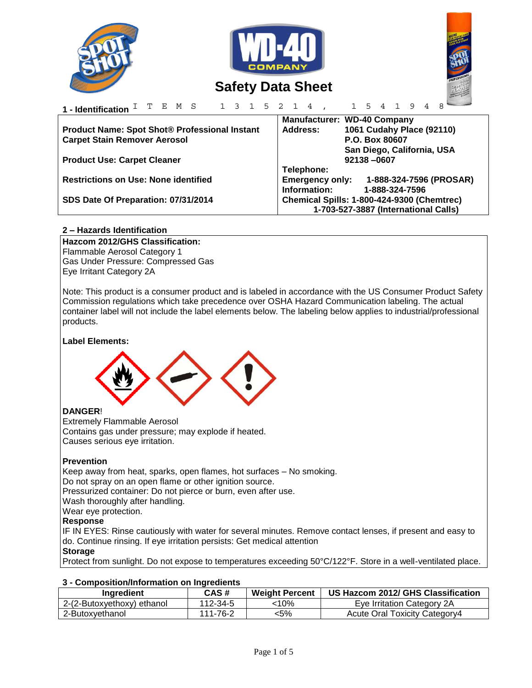

# **2 – Hazards Identification**

**Hazcom 2012/GHS Classification:**  Flammable Aerosol Category 1 Gas Under Pressure: Compressed Gas Eye Irritant Category 2A

Note: This product is a consumer product and is labeled in accordance with the US Consumer Product Safety Commission regulations which take precedence over OSHA Hazard Communication labeling. The actual container label will not include the label elements below. The labeling below applies to industrial/professional products.

### **Label Elements:**



### **DANGER**!

Extremely Flammable Aerosol Contains gas under pressure; may explode if heated. Causes serious eye irritation.

### **Prevention**

Keep away from heat, sparks, open flames, hot surfaces – No smoking. Do not spray on an open flame or other ignition source. Pressurized container: Do not pierce or burn, even after use.

Wash thoroughly after handling.

Wear eye protection.

# **Response**

IF IN EYES: Rinse cautiously with water for several minutes. Remove contact lenses, if present and easy to do. Continue rinsing. If eye irritation persists: Get medical attention

# **Storage**

Protect from sunlight. Do not expose to temperatures exceeding 50°C/122°F. Store in a well-ventilated place.

### **3 - Composition/Information on Ingredients**

| Ingredient                 | CAS#     | <b>Weight Percent</b> | US Hazcom 2012/ GHS Classification |
|----------------------------|----------|-----------------------|------------------------------------|
| 2-(2-Butoxyethoxy) ethanol | 112-34-5 | 10%·                  | Eye Irritation Category 2A         |
| 2-Butoxyethanol            | 111-76-2 | <5%                   | Acute Oral Toxicity Category4      |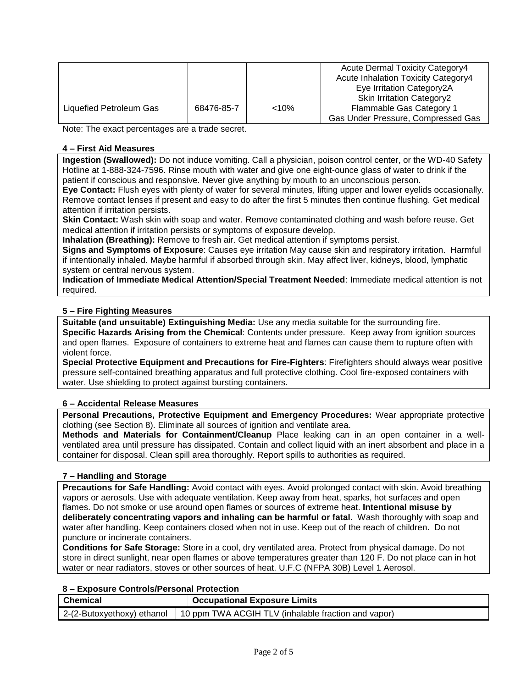|                         |            |       | <b>Acute Dermal Toxicity Category4</b>     |
|-------------------------|------------|-------|--------------------------------------------|
|                         |            |       | <b>Acute Inhalation Toxicity Category4</b> |
|                         |            |       | Eye Irritation Category2A                  |
|                         |            |       | <b>Skin Irritation Category2</b>           |
| Liquefied Petroleum Gas | 68476-85-7 | < 10% | Flammable Gas Category 1                   |
|                         |            |       | Gas Under Pressure, Compressed Gas         |

Note: The exact percentages are a trade secret.

### **4 – First Aid Measures**

**Ingestion (Swallowed):** Do not induce vomiting. Call a physician, poison control center, or the WD-40 Safety Hotline at 1-888-324-7596. Rinse mouth with water and give one eight-ounce glass of water to drink if the patient if conscious and responsive. Never give anything by mouth to an unconscious person.

**Eye Contact:** Flush eyes with plenty of water for several minutes, lifting upper and lower eyelids occasionally. Remove contact lenses if present and easy to do after the first 5 minutes then continue flushing. Get medical attention if irritation persists.

**Skin Contact:** Wash skin with soap and water. Remove contaminated clothing and wash before reuse. Get medical attention if irritation persists or symptoms of exposure develop.

**Inhalation (Breathing):** Remove to fresh air. Get medical attention if symptoms persist.

**Signs and Symptoms of Exposure**: Causes eye irritation May cause skin and respiratory irritation. Harmful if intentionally inhaled. Maybe harmful if absorbed through skin. May affect liver, kidneys, blood, lymphatic system or central nervous system.

**Indication of Immediate Medical Attention/Special Treatment Needed**: Immediate medical attention is not required.

# **5 – Fire Fighting Measures**

**Suitable (and unsuitable) Extinguishing Media:** Use any media suitable for the surrounding fire. **Specific Hazards Arising from the Chemical**: Contents under pressure. Keep away from ignition sources and open flames. Exposure of containers to extreme heat and flames can cause them to rupture often with violent force.

**Special Protective Equipment and Precautions for Fire-Fighters**: Firefighters should always wear positive pressure self-contained breathing apparatus and full protective clothing. Cool fire-exposed containers with water. Use shielding to protect against bursting containers.

# **6 – Accidental Release Measures**

**Personal Precautions, Protective Equipment and Emergency Procedures:** Wear appropriate protective clothing (see Section 8). Eliminate all sources of ignition and ventilate area.

**Methods and Materials for Containment/Cleanup** Place leaking can in an open container in a wellventilated area until pressure has dissipated. Contain and collect liquid with an inert absorbent and place in a container for disposal. Clean spill area thoroughly. Report spills to authorities as required.

### **7 – Handling and Storage**

**Precautions for Safe Handling:** Avoid contact with eyes. Avoid prolonged contact with skin. Avoid breathing vapors or aerosols. Use with adequate ventilation. Keep away from heat, sparks, hot surfaces and open flames. Do not smoke or use around open flames or sources of extreme heat. **Intentional misuse by deliberately concentrating vapors and inhaling can be harmful or fatal.** Wash thoroughly with soap and water after handling. Keep containers closed when not in use. Keep out of the reach of children. Do not puncture or incinerate containers.

**Conditions for Safe Storage:** Store in a cool, dry ventilated area. Protect from physical damage. Do not store in direct sunlight, near open flames or above temperatures greater than 120 F. Do not place can in hot water or near radiators, stoves or other sources of heat. U.F.C (NFPA 30B) Level 1 Aerosol.

| 8 - Exposure Controls/Personal Protection |  |
|-------------------------------------------|--|
|-------------------------------------------|--|

| <b>Chemical</b>            | <b>Occupational Exposure Limits</b>                 |  |
|----------------------------|-----------------------------------------------------|--|
| 2-(2-Butoxyethoxy) ethanol | 10 ppm TWA ACGIH TLV (inhalable fraction and vapor) |  |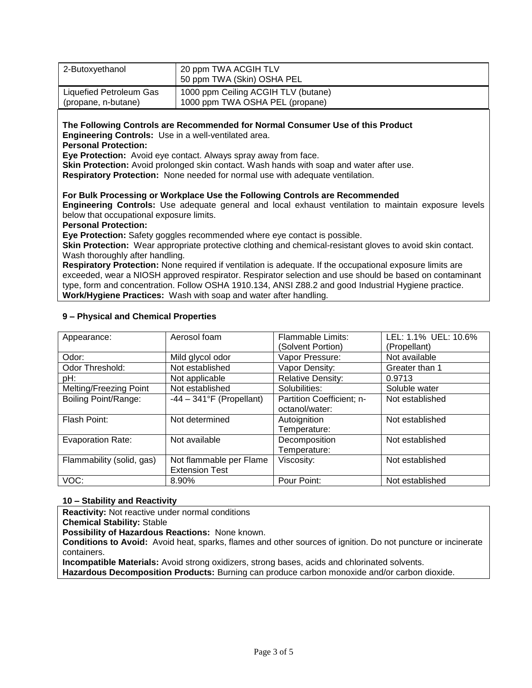| Liquefied Petroleum Gas<br>1000 ppm Ceiling ACGIH TLV (butane)                                                                                                                                                                                                                                                                                                                                                                                                                                                                                                                                                                 |  |  |  |  |
|--------------------------------------------------------------------------------------------------------------------------------------------------------------------------------------------------------------------------------------------------------------------------------------------------------------------------------------------------------------------------------------------------------------------------------------------------------------------------------------------------------------------------------------------------------------------------------------------------------------------------------|--|--|--|--|
| 1000 ppm TWA OSHA PEL (propane)<br>(propane, n-butane)                                                                                                                                                                                                                                                                                                                                                                                                                                                                                                                                                                         |  |  |  |  |
| The Following Controls are Recommended for Normal Consumer Use of this Product<br>Engineering Controls: Use in a well-ventilated area.<br><b>Personal Protection:</b><br>Eye Protection: Avoid eye contact. Always spray away from face.<br>Skin Protection: Avoid prolonged skin contact. Wash hands with soap and water after use.<br>Respiratory Protection: None needed for normal use with adequate ventilation.                                                                                                                                                                                                          |  |  |  |  |
| For Bulk Processing or Workplace Use the Following Controls are Recommended<br>Engineering Controls: Use adequate general and local exhaust ventilation to maintain exposure levels<br>below that occupational exposure limits.<br><b>Personal Protection:</b>                                                                                                                                                                                                                                                                                                                                                                 |  |  |  |  |
| Eye Protection: Safety goggles recommended where eye contact is possible.<br>Skin Protection: Wear appropriate protective clothing and chemical-resistant gloves to avoid skin contact.<br>Wash thoroughly after handling.<br>Respiratory Protection: None required if ventilation is adequate. If the occupational exposure limits are<br>exceeded, wear a NIOSH approved respirator. Respirator selection and use should be based on contaminant<br>type, form and concentration. Follow OSHA 1910.134, ANSI Z88.2 and good Industrial Hygiene practice.<br>Work/Hygiene Practices: Wash with soap and water after handling. |  |  |  |  |

| Appearance:               | Aerosol foam                | <b>Flammable Limits:</b>  | LEL: 1.1% UEL: 10.6% |
|---------------------------|-----------------------------|---------------------------|----------------------|
|                           |                             | (Solvent Portion)         | (Propellant)         |
| Odor:                     | Mild glycol odor            | Vapor Pressure:           | Not available        |
| Odor Threshold:           | Not established             | Vapor Density:            | Greater than 1       |
| pH:                       | Not applicable              | <b>Relative Density:</b>  | 0.9713               |
| Melting/Freezing Point    | Not established             | Solubilities:             | Soluble water        |
| Boiling Point/Range:      | $-44 - 341$ °F (Propellant) | Partition Coefficient; n- | Not established      |
|                           |                             | octanol/water:            |                      |
| Flash Point:              | Not determined              | Autoignition              | Not established      |
|                           |                             | Temperature:              |                      |
| <b>Evaporation Rate:</b>  | Not available               | Decomposition             | Not established      |
|                           |                             | Temperature:              |                      |
| Flammability (solid, gas) | Not flammable per Flame     | Viscosity:                | Not established      |
|                           | <b>Extension Test</b>       |                           |                      |
| VOC:                      | 8.90%                       | Pour Point:               | Not established      |

# **9 – Physical and Chemical Properties**

# **10 – Stability and Reactivity**

**Reactivity:** Not reactive under normal conditions

**Chemical Stability:** Stable

**Possibility of Hazardous Reactions:** None known.

**Conditions to Avoid:** Avoid heat, sparks, flames and other sources of ignition. Do not puncture or incinerate containers.

**Incompatible Materials:** Avoid strong oxidizers, strong bases, acids and chlorinated solvents.

**Hazardous Decomposition Products:** Burning can produce carbon monoxide and/or carbon dioxide.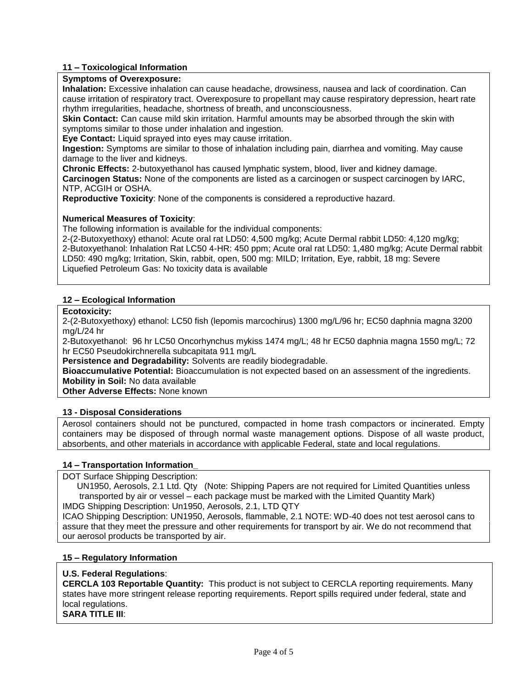# **11 – Toxicological Information**

### **Symptoms of Overexposure:**

**Inhalation:** Excessive inhalation can cause headache, drowsiness, nausea and lack of coordination. Can cause irritation of respiratory tract. Overexposure to propellant may cause respiratory depression, heart rate rhythm irregularities, headache, shortness of breath, and unconsciousness.

**Skin Contact:** Can cause mild skin irritation. Harmful amounts may be absorbed through the skin with symptoms similar to those under inhalation and ingestion.

**Eye Contact:** Liquid sprayed into eyes may cause irritation.

**Ingestion:** Symptoms are similar to those of inhalation including pain, diarrhea and vomiting. May cause damage to the liver and kidneys.

**Chronic Effects:** 2-butoxyethanol has caused lymphatic system, blood, liver and kidney damage. **Carcinogen Status:** None of the components are listed as a carcinogen or suspect carcinogen by IARC, NTP, ACGIH or OSHA.

**Reproductive Toxicity**: None of the components is considered a reproductive hazard.

### **Numerical Measures of Toxicity**:

The following information is available for the individual components:

2-(2-Butoxyethoxy) ethanol: Acute oral rat LD50: 4,500 mg/kg; Acute Dermal rabbit LD50: 4,120 mg/kg; 2-Butoxyethanol: Inhalation Rat LC50 4-HR: 450 ppm; Acute oral rat LD50: 1,480 mg/kg; Acute Dermal rabbit LD50: 490 mg/kg; Irritation, Skin, rabbit, open, 500 mg: MILD; Irritation, Eye, rabbit, 18 mg: Severe Liquefied Petroleum Gas: No toxicity data is available

### **12 – Ecological Information**

### **Ecotoxicity:**

2-(2-Butoxyethoxy) ethanol: LC50 fish (lepomis marcochirus) 1300 mg/L/96 hr; EC50 daphnia magna 3200 mg/L/24 hr

2-Butoxyethanol: 96 hr LC50 Oncorhynchus mykiss 1474 mg/L; 48 hr EC50 daphnia magna 1550 mg/L; 72 hr EC50 Pseudokirchnerella subcapitata 911 mg/L

**Persistence and Degradability:** Solvents are readily biodegradable.

**Bioaccumulative Potential:** Bioaccumulation is not expected based on an assessment of the ingredients. **Mobility in Soil:** No data available

**Other Adverse Effects:** None known

### **13 - Disposal Considerations**

Aerosol containers should not be punctured, compacted in home trash compactors or incinerated. Empty containers may be disposed of through normal waste management options. Dispose of all waste product, absorbents, and other materials in accordance with applicable Federal, state and local regulations.

### **14 – Transportation Information\_**

DOT Surface Shipping Description:

 UN1950, Aerosols, 2.1 Ltd. Qty (Note: Shipping Papers are not required for Limited Quantities unless transported by air or vessel – each package must be marked with the Limited Quantity Mark) IMDG Shipping Description: Un1950, Aerosols, 2.1, LTD QTY

ICAO Shipping Description: UN1950, Aerosols, flammable, 2.1 NOTE: WD-40 does not test aerosol cans to assure that they meet the pressure and other requirements for transport by air. We do not recommend that our aerosol products be transported by air.

### **15 – Regulatory Information**

### **U.S. Federal Regulations**:

**CERCLA 103 Reportable Quantity:** This product is not subject to CERCLA reporting requirements. Many states have more stringent release reporting requirements. Report spills required under federal, state and local regulations.

**SARA TITLE III**: